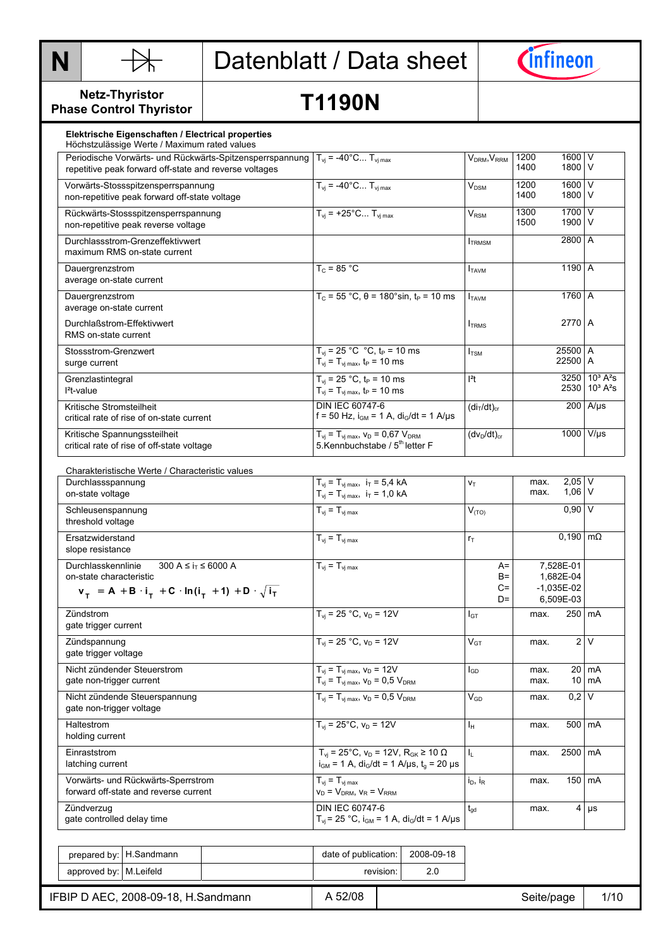



**Netz-Thyristor Phase Control Thyristor** 

# **T1190N**

| Elektrische Eigenschaften / Electrical properties<br>Höchstzulässige Werte / Maximum rated values                                                              |                                                                                                 |                       |              |                    |                                                       |
|----------------------------------------------------------------------------------------------------------------------------------------------------------------|-------------------------------------------------------------------------------------------------|-----------------------|--------------|--------------------|-------------------------------------------------------|
| Periodische Vorwärts- und Rückwärts-Spitzensperrspannung $T_{vi} = -40^{\circ}$ C T <sub>vimax</sub><br>repetitive peak forward off-state and reverse voltages |                                                                                                 | $V_{DRM}$ , $V_{RRM}$ | 1200<br>1400 | 1600<br>1800       | $\vee$<br>$\vee$                                      |
| Vorwärts-Stossspitzensperrspannung<br>non-repetitive peak forward off-state voltage                                                                            | $T_{vi} = -40^{\circ}C T_{vi max}$                                                              | $V_{DSM}$             | 1200<br>1400 | 1600<br>1800       | $\vee$<br>l V                                         |
| Rückwärts-Stossspitzensperrspannung<br>non-repetitive peak reverse voltage                                                                                     | $T_{vi}$ = +25°C $T_{vi max}$                                                                   | $V_{\rm RSM}$         | 1300<br>1500 | 1700<br>1900 V     | $\vee$                                                |
| Durchlassstrom-Grenzeffektivwert<br>maximum RMS on-state current                                                                                               |                                                                                                 | <b>TRMSM</b>          |              | 2800 A             |                                                       |
| Dauergrenzstrom<br>average on-state current                                                                                                                    | $T_c = 85 °C$                                                                                   | <b>TAVM</b>           |              | 1190 A             |                                                       |
| Dauergrenzstrom<br>average on-state current                                                                                                                    | $T_c$ = 55 °C, θ = 180°sin, t <sub>P</sub> = 10 ms                                              | <b>I</b> TAVM         |              | 1760 A             |                                                       |
| Durchlaßstrom-Effektivwert<br>RMS on-state current                                                                                                             |                                                                                                 | <b>TRMS</b>           |              | 2770 A             |                                                       |
| Stossstrom-Grenzwert<br>surge current                                                                                                                          | $T_{vi}$ = 25 °C °C, $t_P$ = 10 ms<br>$T_{\rm vj} = T_{\rm vj \, max}$ , t <sub>P</sub> = 10 ms | $I_{TSM}$             |              | 25500 A<br>22500 A |                                                       |
| Grenzlastintegral<br>$l^2$ t-value                                                                                                                             | $T_{vi}$ = 25 °C, $t_P$ = 10 ms<br>$T_{vi} = T_{vi \, max}$ , $t_P = 10 \, ms$                  | $l2$ t                |              | 3250               | $10^3 A^2 s$<br>2530 10 <sup>3</sup> A <sup>2</sup> s |
| Kritische Stromsteilheit<br>critical rate of rise of on-state current                                                                                          | <b>DIN IEC 60747-6</b><br>f = 50 Hz, $i_{GM}$ = 1 A, $di_G/dt$ = 1 A/µs                         | $(diT/dt)cr$          |              |                    | $200$ A/µs                                            |
| Kritische Spannungssteilheit<br>critical rate of rise of off-state voltage                                                                                     | $T_{vi} = T_{vj \, max}$ , $V_D = 0.67 V_{DRM}$<br>5. Kennbuchstabe / 5 <sup>th</sup> letter F  | $(dv_D/dt)_{cr}$      |              | 1000               | $V/\mu s$                                             |

| Charakteristische Werte / Characteristic values                                                                                               |                                                                                                                              |            |                |                                |              |                                                     |                  |
|-----------------------------------------------------------------------------------------------------------------------------------------------|------------------------------------------------------------------------------------------------------------------------------|------------|----------------|--------------------------------|--------------|-----------------------------------------------------|------------------|
| Durchlassspannung<br>on-state voltage                                                                                                         | $T_{vi} = T_{vi \, max}$ , $i_T = 5.4$ kA<br>$T_{\rm vj} = T_{\rm vj \, max}, i_T = 1.0 \, kA$                               |            | $V_T$          |                                | max.<br>max. | $2,05$ V<br>$1.06$ V                                |                  |
|                                                                                                                                               |                                                                                                                              |            |                |                                |              |                                                     |                  |
| Schleusenspannung<br>threshold voltage                                                                                                        | $T_{vi} = T_{vi \, max}$                                                                                                     |            | $V_{(TO)}$     |                                |              | $0.90$ V                                            |                  |
| Ersatzwiderstand<br>slope resistance                                                                                                          | $T_{vi} = T_{vi \, max}$                                                                                                     |            | $r_{\text{T}}$ |                                |              | $0,190 \, \text{m}\Omega$                           |                  |
| Durchlasskennlinie<br>300 A ≤ $i_T$ ≤ 6000 A<br>on-state characteristic<br>$v_T = A + B \cdot i_T + C \cdot ln(i_T + 1) + D \cdot \sqrt{i_T}$ | $T_{vi} = T_{vi \, max}$                                                                                                     |            |                | $A=$<br>$B =$<br>$C =$<br>$D=$ |              | 7,528E-01<br>1,682E-04<br>$-1,035E-02$<br>6,509E-03 |                  |
| Zündstrom<br>gate trigger current                                                                                                             | $T_{vi}$ = 25 °C, $v_D$ = 12V                                                                                                |            | $I_{GT}$       |                                | max.         | 250 mA                                              |                  |
| Zündspannung<br>gate trigger voltage                                                                                                          | $T_{vi}$ = 25 °C, $v_D$ = 12V                                                                                                |            | $V_{GT}$       |                                | max.         |                                                     | 2V               |
| Nicht zündender Steuerstrom                                                                                                                   | $T_{vi}$ = $T_{vi}$ max, $V_D$ = 12V                                                                                         |            | $I_{GD}$       |                                | max.         |                                                     | $20 \text{ mA}$  |
| gate non-trigger current                                                                                                                      | $T_{vi} = T_{vi \, max}$ , $V_D = 0.5 V_{DRM}$                                                                               |            |                |                                | max.         |                                                     | $10 \text{Im}$ A |
| Nicht zündende Steuerspannung<br>gate non-trigger voltage                                                                                     | $T_{vi} = T_{vi \, max}$ , $V_D = 0.5 V_{DRM}$                                                                               |            | $V_{GD}$       |                                | max.         | $0.2$ V                                             |                  |
| Haltestrom<br>holding current                                                                                                                 | $T_{vi}$ = 25°C, $V_D$ = 12V                                                                                                 |            | Iн             |                                | max.         | 500 mA                                              |                  |
| Einraststrom<br>latching current                                                                                                              | $T_{vi}$ = 25°C, $v_D$ = 12V, $R_{GK}$ ≥ 10 $\Omega$<br>$i_{GM}$ = 1 A, di <sub>G</sub> /dt = 1 A/µs, t <sub>a</sub> = 20 µs |            | Ь.             |                                | max.         | 2500 mA                                             |                  |
| Vorwärts- und Rückwärts-Sperrstrom<br>forward off-state and reverse current                                                                   | $T_{vi} = T_{vj \, max}$<br>$V_D = V_{DRM}$ , $V_R = V_{RRM}$                                                                |            | $i_D$ , $i_R$  |                                | max.         | $150 \mid mA$                                       |                  |
| Zündverzug<br>gate controlled delay time                                                                                                      | DIN IEC 60747-6<br>$T_{vi}$ = 25 °C, $i_{GM}$ = 1 A, $di_G/dt$ = 1 A/µs                                                      |            | $t_{\alpha d}$ |                                | max.         |                                                     | $4 \mu s$        |
|                                                                                                                                               |                                                                                                                              |            |                |                                |              |                                                     |                  |
| prepared by:   H.Sandmann                                                                                                                     | date of publication:                                                                                                         | 2008-09-18 |                |                                |              |                                                     |                  |
| approved by: M.Leifeld                                                                                                                        | revision:                                                                                                                    | 2.0        |                |                                |              |                                                     |                  |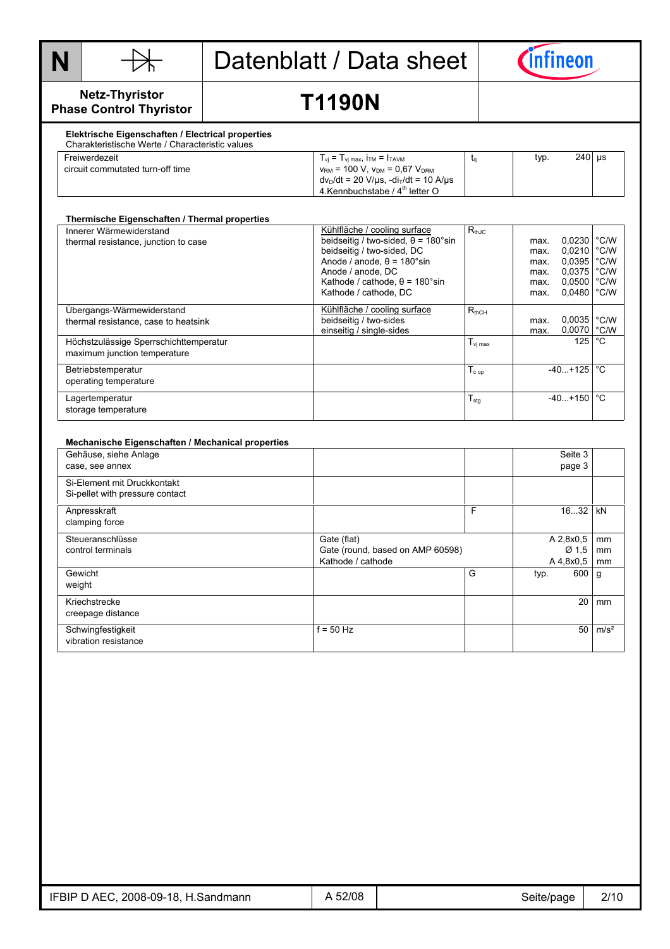



### **Netz-Thyristor Phase Control Thyristor**

# **T1190N**

#### **Elektrische Eigenschaften / Electrical properties**  Charakteristische Werte / Characteristic values

| <u>Unarantunuuuun vyutu marautunuu valato</u> |                                                                              |      |          |  |
|-----------------------------------------------|------------------------------------------------------------------------------|------|----------|--|
| Freiwerdezeit                                 | $T_{vi}$ = $T_{vi \, max}$ , $T_{TM}$ = $T_{TAVM}$                           | typ. | $240$ us |  |
| circuit commutated turn-off time              | $v_{\text{RM}}$ = 100 V, $v_{\text{DM}}$ = 0,67 V <sub>DRM</sub>             |      |          |  |
|                                               | $dv_p/dt = 20 \text{ V/}\mu\text{s}$ , $-di_T/dt = 10 \text{ A/}\mu\text{s}$ |      |          |  |
|                                               | 4. Kennbuchstabe / 4 <sup>th</sup> letter O                                  |      |          |  |
|                                               |                                                                              |      |          |  |

| Thermische Eigenschaften / Thermal properties                          |                                                                                                                                                                                                                                      |                     |                                              |                                                                   |                                      |
|------------------------------------------------------------------------|--------------------------------------------------------------------------------------------------------------------------------------------------------------------------------------------------------------------------------------|---------------------|----------------------------------------------|-------------------------------------------------------------------|--------------------------------------|
| Innerer Wärmewiderstand<br>thermal resistance, junction to case        | Kühlfläche / cooling surface<br>beidseitig / two-sided, $\theta$ = 180°sin<br>beidseitig / two-sided, DC<br>Anode / anode. $\theta$ = 180°sin<br>Anode / anode, DC<br>Kathode / cathode, $\theta$ = 180°sin<br>Kathode / cathode, DC | $R_{thJC}$          | max.<br>max.<br>max.<br>max.<br>max.<br>max. | $0.0230$ $°C/W$<br>0,0210<br>0,0395<br>0,0375<br>0,0500<br>0.0480 | °C/W<br>°C/W<br>°C/W<br>°C/W<br>°C/W |
| Ubergangs-Wärmewiderstand<br>thermal resistance, case to heatsink      | Kühlfläche / cooling surface<br>beidseitig / two-sides<br>einseitig / single-sides                                                                                                                                                   | $R_{thCH}$          | max.<br>max.                                 | 0,0035<br>0,0070                                                  | °C/W<br>°C/W                         |
| Höchstzulässige Sperrschichttemperatur<br>maximum junction temperature |                                                                                                                                                                                                                                      | $T_{\text{vj max}}$ |                                              | 125                                                               | °C                                   |
| Betriebstemperatur<br>operating temperature                            |                                                                                                                                                                                                                                      | $T_{cop}$           |                                              | $-40. + 125$                                                      | °C                                   |
| Lagertemperatur<br>storage temperature                                 |                                                                                                                                                                                                                                      | $T_{\text{stg}}$    |                                              | $-40. + 150$                                                      | °C                                   |

| Mechanische Eigenschaften / Mechanical properties |                                  |   |      |                  |                  |
|---------------------------------------------------|----------------------------------|---|------|------------------|------------------|
| Gehäuse, siehe Anlage                             |                                  |   |      | Seite 3          |                  |
| case, see annex                                   |                                  |   |      | page 3           |                  |
| Si-Element mit Druckkontakt                       |                                  |   |      |                  |                  |
| Si-pellet with pressure contact                   |                                  |   |      |                  |                  |
| Anpresskraft                                      |                                  | F |      | 1632             | kN               |
| clamping force                                    |                                  |   |      |                  |                  |
| Steueranschlüsse                                  | Gate (flat)                      |   |      | A 2,8x0,5        | mm               |
| control terminals                                 | Gate (round, based on AMP 60598) |   |      | Ø <sub>1.5</sub> | mm               |
|                                                   | Kathode / cathode                |   |      | $A\,4,8x0,5$     | mm               |
| Gewicht                                           |                                  | G | typ. | 600 g            |                  |
| weight                                            |                                  |   |      |                  |                  |
| Kriechstrecke                                     |                                  |   |      | 20               | mm               |
| creepage distance                                 |                                  |   |      |                  |                  |
| Schwingfestigkeit                                 | $f = 50$ Hz                      |   |      | 50               | m/s <sup>2</sup> |
| vibration resistance                              |                                  |   |      |                  |                  |

| IFBIP D AEC, 2008-09-18, H.Sandmann | 52/08<br>$\overline{ }$ | Seite/page | 2/10 |
|-------------------------------------|-------------------------|------------|------|
|-------------------------------------|-------------------------|------------|------|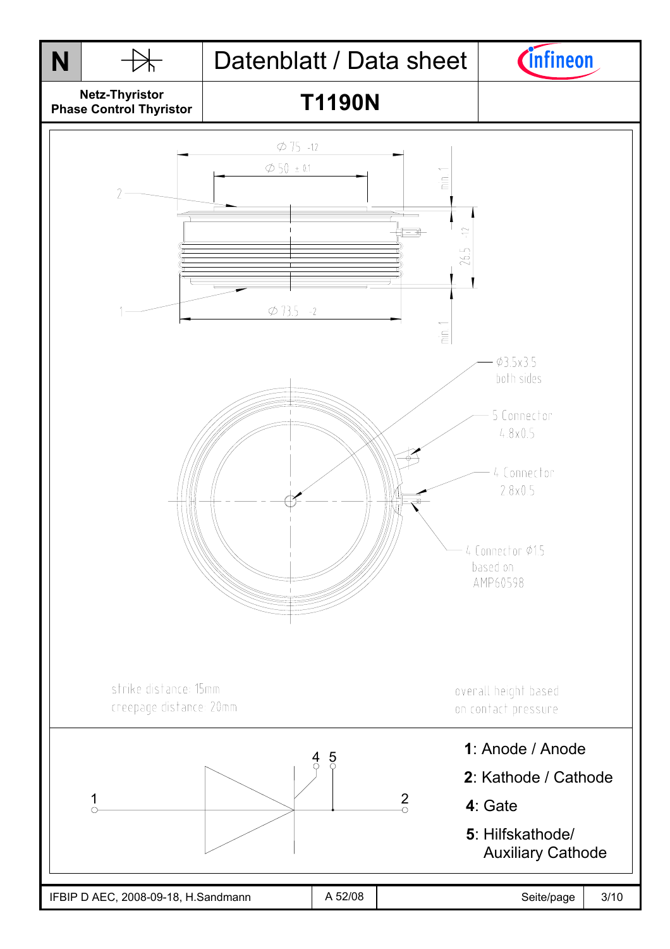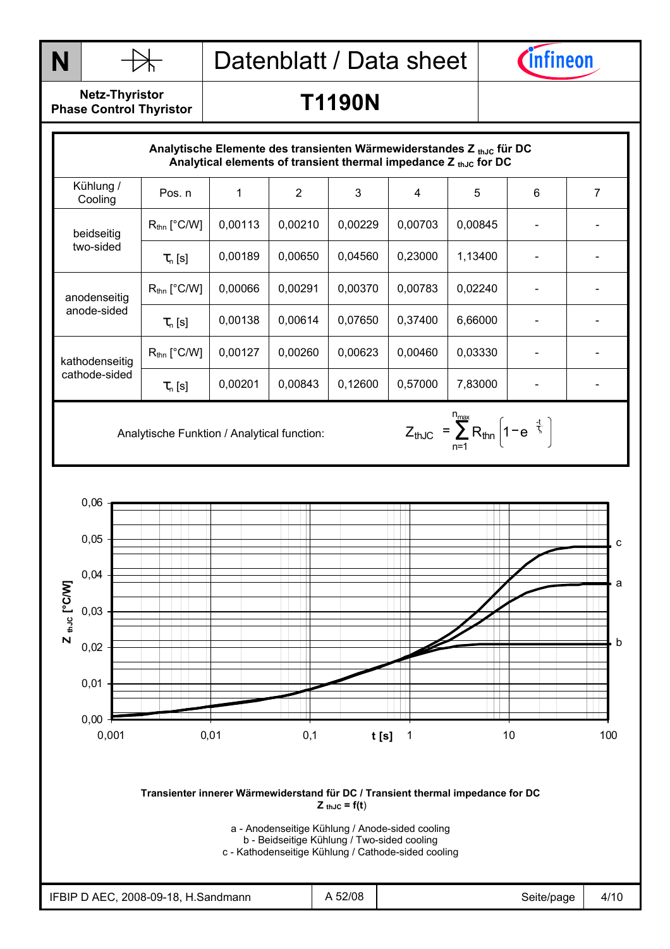

**T1190N** 



**Netz-Thyristor Phase Control Thyristor** 

## Diagramme Kühlung / Trans. Wärmewid. beidseitig Analytische Elemente des transienten Wärmewiderstandes Z thJc für DC Analytical elements of transient thermal impedance Z th<sub>JC</sub> for DC Cooling Pos. n 1 2 3 4 5 6 7 Rthn [°C/W] 0,00113 0,00210 0,00229 0,00703 0,00845 - - beidseitig two-sided  $\tau_{\sf n} \, {\sf [s]}$   $\;\;\mid$  0,00189  $\;\mid$  0,00650  $\;\mid$  0,04560  $\;\mid$  0,23000  $\;\mid$  1,13400  $\;\mid$   $\;\;\cdot$   $\;\;\mid$   $\;\;\cdot$   $\;\;\mid$   $\;\;\cdot$ anodenseitig R<sub>thn</sub> [°C/W] 0,00066 0,00291 0,00370 0,00783 0,02240 - - - - - - - anode-sided  $\tau_{\sf n} \, {\sf [s]}$  | 0,00138 | 0,00614 | 0,07650 | 0,37400 | 6,66000 | - | kathodenseitig R<sub>thn</sub> [°C/W] 0,00127 0,00260 0,00623 0,00460 0,03330 - - | cathode-sided  $\tau_{\sf n} \, {\sf [s]}$  | 0,00201 | 0,00843 | 0,12600 | 0,57000 | 7,83000 | - | -

n<sub>max</sub>

n=1 thJC  $=$   $\angle$   $\mathsf{R}_{\mathsf{thn}}$  | 1 –  $\mathsf{e}$   $\mathsf{m}$  $Z_{thJC} = \sum_{m} R_{thn} \left[ 1 - e^{-\frac{1}{k}t} \right]$ 

Analytische Funktion / Analytical function:  $Z_{thJC} = \sum_{n=4}^{\infty} R_{thn} \left| 1 - e^{-\frac{1}{\zeta}} \right|$ 



a - Anodenseitige Kühlung / Anode-sided cooling b - Beidseitige Kühlung / Two-sided cooling

c - Kathodenseitige Kühlung / Cathode-sided cooling

| 2008-09-18,<br>IFBIP D AEC,<br>H.Sandmann | 52/08<br>- | Seite/page | 4/10 |
|-------------------------------------------|------------|------------|------|
|-------------------------------------------|------------|------------|------|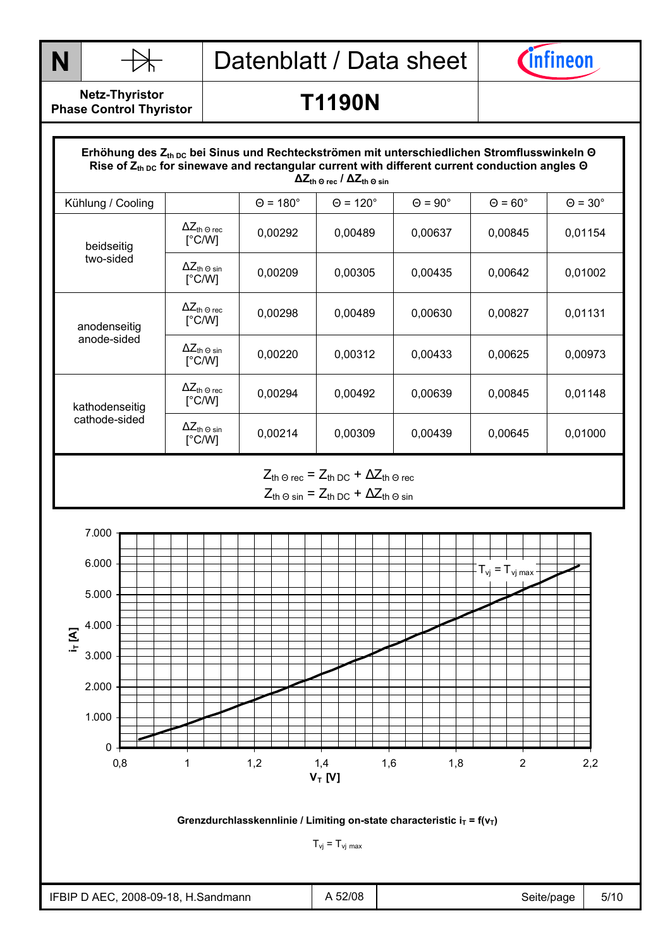



**Netz-Thyristor Phase Control Thyristor** 

## **T1190N**

### **Rise of Z<sub>th DC</sub> for sinewave and rectangular current with different current conduction angles Θ**<br>A 7 ( A 7 ( A 7 ( A 7 ( A 7 ( A 7 ( A 7 ( A 7 ( A 7 ( **A 7 ( A** 7 ( **A 7 ( A** 7 ( **A** 7 ( A 7 ( A 7 ( **A** 7 ( A 7 ( A 7 ( Erhöhung des Z<sub>th DC</sub> bei Sinus und Rechteckströmen mit unterschiedlichen Stromflusswinkeln Θ  **∆Zth Θ rec / ∆Zth Θ sin** Kühlung / Cooling  $\begin{vmatrix} \theta = 180^\circ & \theta = 120^\circ & \theta = 90^\circ & \theta = 60^\circ & \theta = 30^\circ \end{vmatrix}$  $\Delta Z_{\text{th} \,\Theta\,\text{rec}}$ [°C/W]  $\begin{array}{|c|c|c|c|c|c|c|c|} \hline ^{2\text{L}} \text{th} $\Theta$ & $\Theta$ & $\Theta$ & $\Theta$ \ \hline \text{[°C/W]} & & $\Theta$ & $\Theta$ & $\Theta$ & $\Theta$ & $\Theta$ \ \hline \text{[°C/W]} & & $\Theta$ & $\Theta$ & $\Theta$ & $\Theta$ & $\Theta$ & $\Theta$ \ \hline \end{array}$ beidseitig two-sided  $\Delta Z_{\text{th}} \otimes \sin \left[\degree \text{C/W}\right]$  $\frac{22 \text{ th Q sin}}{6}$  0,00209 0,00305 0,00435 0,00642 0,01002  $\Delta Z_{\text{th} \, \Theta \, \text{rec}}$ [°C/W]  $\frac{12 \text{th} \cdot \text{O} \cdot \text{rec}}{\text{[°C/W]}}$  0,00298 0,00489 0,00630 0,00827 0,01131 anodenseitig anode-sided  $\Delta Z_{\text{th}} \odot \sin \left[ \degree \text{C/W} \right]$ <del>^</del>⊆th 9 sin | 0,00220 | 0,00312 | 0,00433 | 0,00625 | 0,00973 | 0,00973  $\Delta Z_{\text{th} \, \Theta \, \text{rec}}$ [°C/W]  $\begin{array}{|c|c|c|c|c|c|c|c|} \hline ^{2\text{Lth Order}} & 0,00294 & 0,00492 & 0,00639 & 0,00845 & 0,01148 \ \hline \end{array}$ kathodenseitig cathode-sided  $\Delta Z_{\text{th -0 sin}}$ <br>
[°C/W] <del>^</del>⊆th 9 sin | 0,00214 | 0,00309 | 0,00439 | 0,00645 | 0,01000 | 0,01000 | 0,01000 | 0,01000 | 0,01000 | 0,01000 |

## $Z_{\text{th}} \odot \text{rec} = Z_{\text{th}} \odot \text{C} + \Delta Z_{\text{th}} \odot \text{rec}$  $Z_{\text{th}} \odot \text{sin} = Z_{\text{th}} \odot c + \Delta Z_{\text{th}} \odot \text{sin}$



### Grenzdurchlasskennlinie / Limiting on-state characteristic  $i_T = f(v_T)$

 $T_{\nu j} = T_{\nu j \text{ max}}$ 

| IFBIP D AEC, 2008-09-18, H.Sandmann | A 52/08 | Seite/page | 5/10 |
|-------------------------------------|---------|------------|------|
|-------------------------------------|---------|------------|------|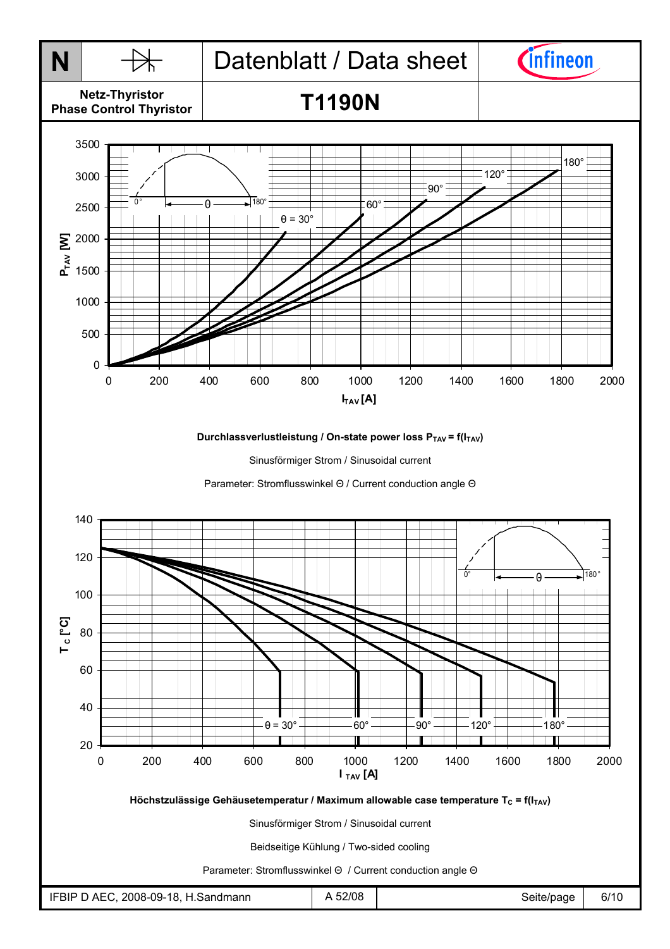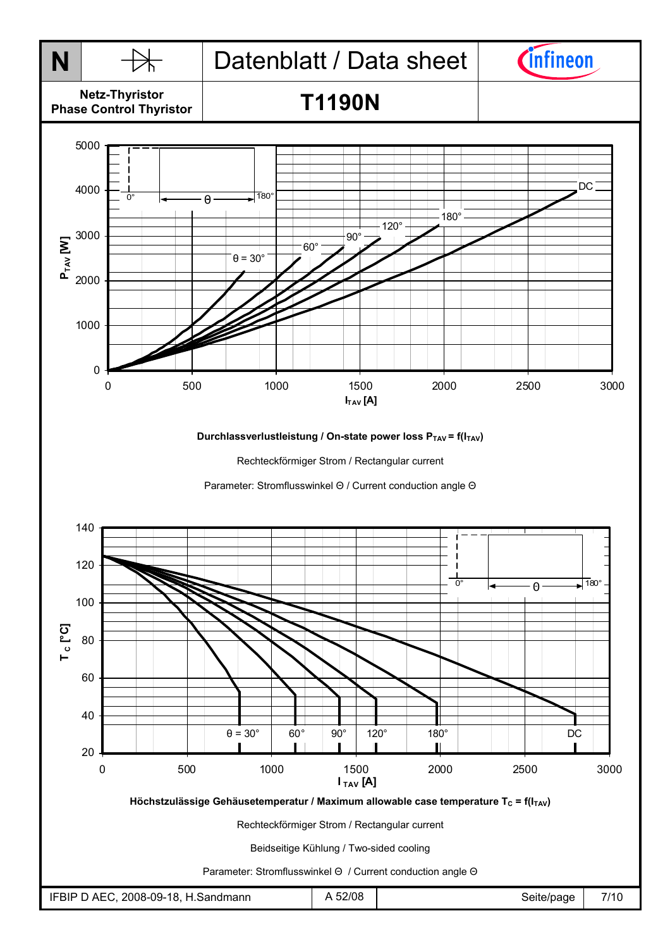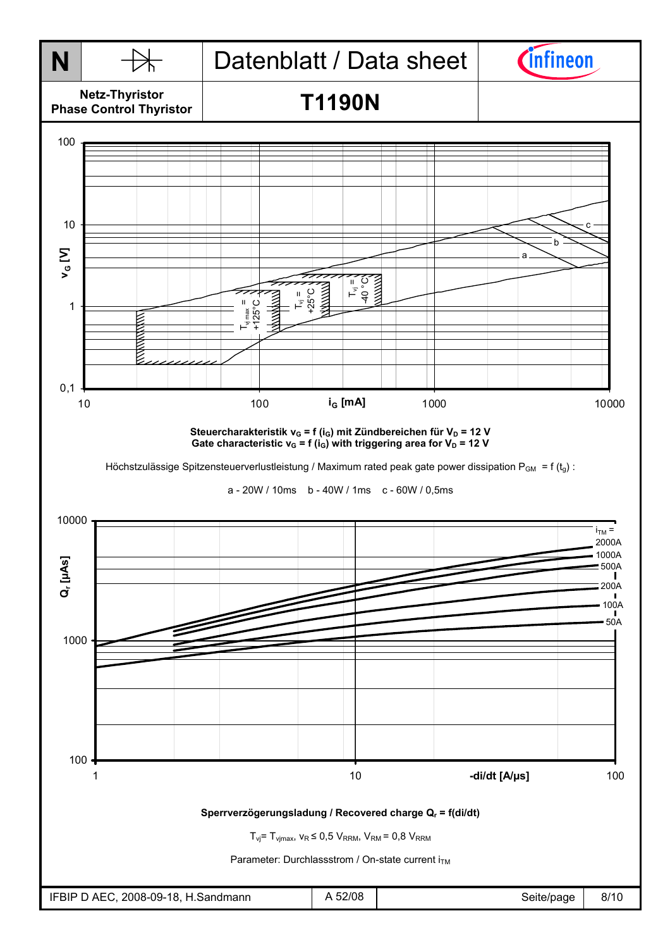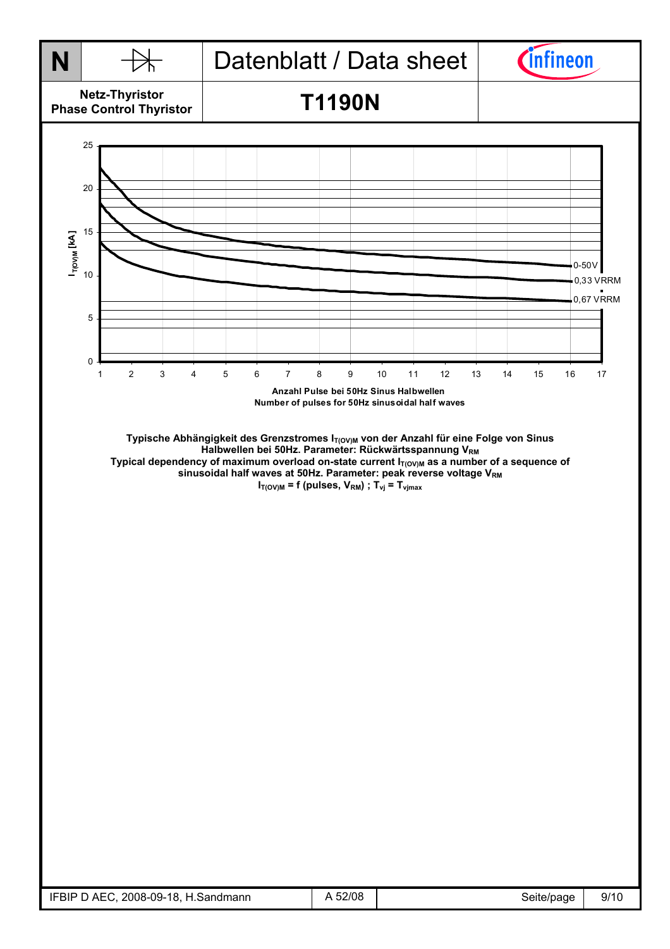